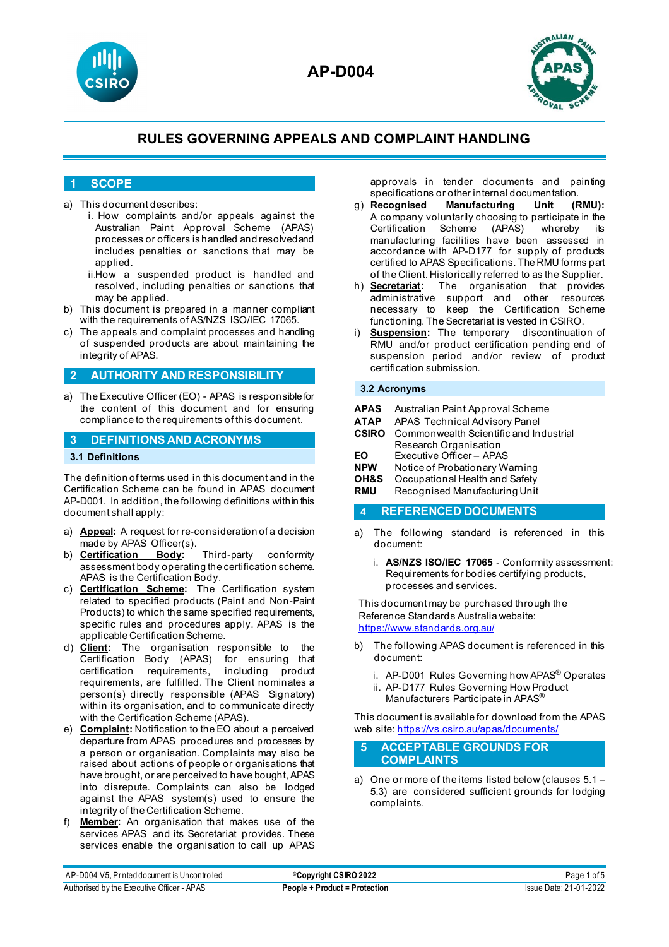



## **1 SCOPE**

- a) This document describes:
	- i. How complaints and/or appeals against the Australian Paint Approval Scheme (APAS) processes or officers is handled and resolvedand includes penalties or sanctions that may be applied
	- ii.How a suspended product is handled and resolved, including penalties or sanctions that may be applied.
- b) This document is prepared in a manner compliant with the requirements of AS/NZS ISO/IEC 17065.
- c) The appeals and complaint processes and handling of suspended products are about maintaining the integrity of APAS.

## **2 AUTHORITY AND RESPONSIBILITY**

a) The Executive Officer (EO) - APAS is responsible for the content of this document and for ensuring compliance to the requirements of this document.

## **3 DEFINITIONS AND ACRONYMS**

## **3.1 Definitions**

The definition of terms used in this document and in the Certification Scheme can be found in APAS document AP-D001. In addition, the following definitions within this document shall apply:

- a) **Appeal:** A request for re-consideration of a decision made by APAS Officer(s).<br>b) **Certification Body:**
- b) **Certification Body:** Third-party conformity assessment body operating the certification scheme. APAS is the Certification Body.
- c) **Certification Scheme:** The Certification system related to specified products (Paint and Non-Paint Products) to which the same specified requirements, specific rules and procedures apply. APAS is the applicable Certification Scheme.
- d) **Client:** The organisation responsible to the Certification Body (APAS) for ensuring that certification requirements, including product requirements, are fulfilled. The Client nominates a person(s) directly responsible (APAS Signatory) within its organisation, and to communicate directly with the Certification Scheme (APAS).
- e) **Complaint:** Notification to the EO about a perceived departure from APAS procedures and processes by a person or organisation. Complaints may also be raised about actions of people or organisations that have brought, or are perceived to have bought, APAS into disrepute. Complaints can also be lodged against the APAS system(s) used to ensure the integrity of the Certification Scheme.
- f) **Member:** An organisation that makes use of the services APAS and its Secretariat provides. These services enable the organisation to call up APAS

approvals in tender documents and painting specifications or other internal documentation.<br>g) **Recognised Manufacturing Unit (RMU):** 

- **Manufacturing** A company voluntarily choosing to participate in the Certification Scheme (APAS) whereby its manufacturing facilities have been assessed in accordance with AP-D177 for supply of products certified to APAS Specifications. The RMU forms part of the Client. Historically referred to as the Supplier.
- h) **Secretariat:** The organisation that provides administrative support and other resources necessary to keep the Certification Scheme functioning. The Secretariat is vested in CSIRO.
- i) **Suspension:** The temporary discontinuation of RMU and/or product certification pending end of suspension period and/or review of product certification submission.

#### **3.2 Acronyms**

| <b>APAS</b> Australian Paint Approval Scheme |
|----------------------------------------------|
|                                              |

- **ATAP** APAS Technical Advisory Panel
- **CSIRO** Commonwealth Scientific and Industrial Research Organisation
- **EO** Executive Officer APAS<br> **NPW** Notice of Probationary W
- **NPW** Notice of Probationary Warning<br>**OH&S** Occupational Health and Safety
- **OH&S** Occupational Health and Safety<br> **RMU** Recognised Manufacturing Unit
- **Recognised Manufacturing Unit**

## **4 REFERENCED DOCUMENTS**

- a) The following standard is referenced in this document:
	- i. **AS/NZS ISO/IEC 17065** Conformity assessment: Requirements for bodies certifying products, processes and services.

This document may be purchased through the Reference Standards Australia website: <https://www.standards.org.au/>

- b) The following APAS document is referenced in this document:
	- i. AP-D001 Rules Governing how APAS® Operates
	- ii. AP-D177 Rules Governing How Product Manufacturers Participate in APAS®

This document is available for download from the APAS web site[: https://vs.csiro.au/apas/documents/](https://vs.csiro.au/apas/documents/)

#### **5 ACCEPTABLE GROUNDS FOR COMPLAINTS**

a) One or more of the items listed below (clauses 5.1 – 5.3) are considered sufficient grounds for lodging complaints.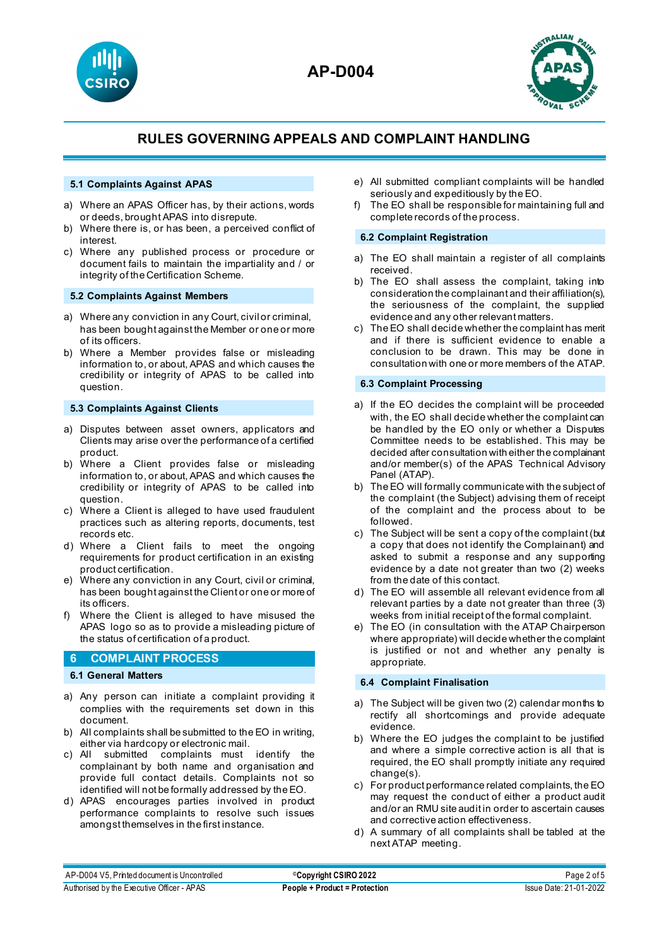



## **5.1 Complaints Against APAS**

- a) Where an APAS Officer has, by their actions, words or deeds, brought APAS into disrepute.
- b) Where there is, or has been, a perceived conflict of interest.
- c) Where any published process or procedure or document fails to maintain the impartiality and / or integrity of the Certification Scheme.

## **5.2 Complaints Against Members**

- a) Where any conviction in any Court, civil or criminal, has been bought against the Member or one or more of its officers.
- b) Where a Member provides false or misleading information to, or about, APAS and which causes the credibility or integrity of APAS to be called into question.

#### **5.3 Complaints Against Clients**

- a) Disputes between asset owners, applicators and Clients may arise over the performance of a certified product.
- b) Where a Client provides false or misleading information to, or about, APAS and which causes the credibility or integrity of APAS to be called into question.
- c) Where a Client is alleged to have used fraudulent practices such as altering reports, documents, test records etc.
- d) Where a Client fails to meet the ongoing requirements for product certification in an existing product certification.
- e) Where any conviction in any Court, civil or criminal, has been bought against the Client or one or more of its officers.
- f) Where the Client is alleged to have misused the APAS logo so as to provide a misleading picture of the status of certification of a product.

## **6 COMPLAINT PROCESS**

## **6.1 General Matters**

- a) Any person can initiate a complaint providing it complies with the requirements set down in this document.
- b) All complaints shall be submitted to the EO in writing, either via hardcopy or electronic mail.
- c) All submitted complaints must identify the complainant by both name and organisation and provide full contact details. Complaints not so identified will not be formally addressed by the EO.
- d) APAS encourages parties involved in product performance complaints to resolve such issues amongst themselves in the first instance.
- e) All submitted compliant complaints will be handled seriously and expeditiously by the EO.
- f) The EO shall be responsible for maintaining full and complete records of the process.

#### **6.2 Complaint Registration**

- a) The EO shall maintain a register of all complaints received.
- b) The EO shall assess the complaint, taking into consideration the complainant and their affiliation(s), the seriousness of the complaint, the supplied evidence and any other relevant matters.
- c) The EO shall decide whether the complaint has merit and if there is sufficient evidence to enable a conclusion to be drawn. This may be done in consultation with one or more members of the ATAP.

## **6.3 Complaint Processing**

- a) If the EO decides the complaint will be proceeded with, the EO shall decide whether the complaint can be handled by the EO only or whether a Disputes Committee needs to be established. This may be decided after consultation with either the complainant and/or member(s) of the APAS Technical Advisory Panel (ATAP).
- b) The EO will formally communicate with the subject of the complaint (the Subject) advising them of receipt of the complaint and the process about to be followed.
- c) The Subject will be sent a copy of the complaint (but a copy that does not identify the Complainant) and asked to submit a response and any supporting evidence by a date not greater than two (2) weeks from the date of this contact.
- d) The EO will assemble all relevant evidence from all relevant parties by a date not greater than three (3) weeks from initial receipt of the formal complaint.
- e) The EO (in consultation with the ATAP Chairperson where appropriate) will decide whether the complaint is justified or not and whether any penalty is appropriate.

#### **6.4 Complaint Finalisation**

- a) The Subject will be given two (2) calendar months to rectify all shortcomings and provide adequate evidence.
- b) Where the EO judges the complaint to be justified and where a simple corrective action is all that is required, the EO shall promptly initiate any required change(s).
- c) For product performance related complaints, the EO may request the conduct of either a product audit and/or an RMU site audit in order to ascertain causes and corrective action effectiveness.
- d) A summary of all complaints shall be tabled at the next ATAP meeting.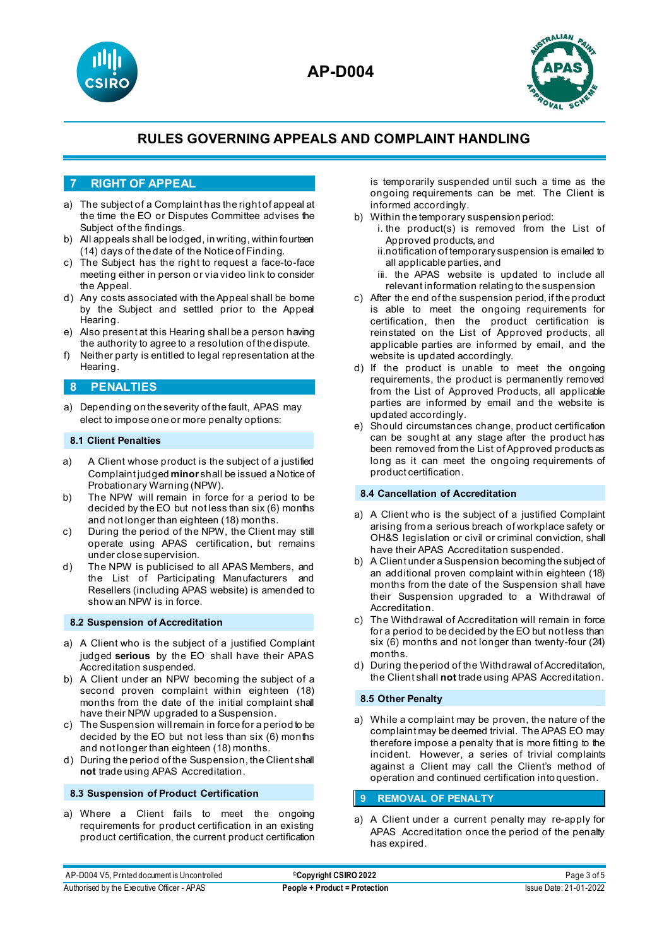



## **7 RIGHT OF APPEAL**

- a) The subject of a Complaint has the right of appeal at the time the EO or Disputes Committee advises the Subject of the findings.
- b) All appeals shall be lodged, in writing, within fourteen (14) days of the date of the Notice of Finding.
- c) The Subject has the right to request a face-to-face meeting either in person or via video link to consider the Appeal.
- d) Any costs associated with the Appeal shall be borne by the Subject and settled prior to the Appeal Hearing.
- e) Also present at this Hearing shall be a person having the authority to agree to a resolution of the dispute.
- f) Neither party is entitled to legal representation at the Hearing.

## **8 PENALTIES**

a) Depending on the severity of the fault, APAS may elect to impose one or more penalty options:

## **8.1 Client Penalties**

- a) A Client whose product is the subject of a justified Complaint judged **minor** shall be issued a Notice of Probationary Warning (NPW).
- b) The NPW will remain in force for a period to be decided by the EO but not less than six (6) months and not longer than eighteen (18) months.
- c) During the period of the NPW, the Client may still operate using APAS certification, but remains under close supervision.
- d) The NPW is publicised to all APAS Members, and the List of Participating Manufacturers and Resellers (including APAS website) is amended to show an NPW is in force.

## **8.2 Suspension of Accreditation**

- a) A Client who is the subject of a justified Complaint judged **serious** by the EO shall have their APAS Accreditation suspended.
- b) A Client under an NPW becoming the subject of a second proven complaint within eighteen (18) months from the date of the initial complaint shall have their NPW upgraded to a Suspension.
- c) The Suspension will remain in force for a period to be decided by the EO but not less than six (6) months and not longer than eighteen (18) months.
- d) During the period of the Suspension, the Client shall **not** trade using APAS Accreditation.

## **8.3 Suspension of Product Certification**

a) Where a Client fails to meet the ongoing requirements for product certification in an existing product certification, the current product certification is temporarily suspended until such a time as the ongoing requirements can be met. The Client is informed accordingly.

- b) Within the temporary suspension period:
	- i. the product(s) is removed from the List of Approved products, and
		- ii.notification of temporary suspension is emailed to all applicable parties, and
		- iii. the APAS website is updated to include all relevant information relating to the suspension
- c) After the end of the suspension period, if the product is able to meet the ongoing requirements for certification, then the product certification is reinstated on the List of Approved products, all applicable parties are informed by email, and the website is updated accordingly.
- d) If the product is unable to meet the ongoing requirements, the product is permanently removed from the List of Approved Products, all applicable parties are informed by email and the website is updated accordingly.
- e) Should circumstances change, product certification can be sought at any stage after the product has been removed from the List of Approved products as long as it can meet the ongoing requirements of product certification.

## **8.4 Cancellation of Accreditation**

- a) A Client who is the subject of a justified Complaint arising from a serious breach of workplace safety or OH&S legislation or civil or criminal conviction, shall have their APAS Accreditation suspended.
- b) A Client under a Suspension becoming the subject of an additional proven complaint within eighteen (18) months from the date of the Suspension shall have their Suspension upgraded to a Withdrawal of Accreditation.
- c) The Withdrawal of Accreditation will remain in force for a period to be decided by the EO but not less than six (6) months and not longer than twenty-four (24) months.
- d) During the period of the Withdrawal of Accreditation, the Client shall **not** trade using APAS Accreditation.

#### **8.5 Other Penalty**

a) While a complaint may be proven, the nature of the complaint may be deemed trivial. The APAS EO may therefore impose a penalty that is more fitting to the incident. However, a series of trivial complaints against a Client may call the Client's method of operation and continued certification into question.

## **9 REMOVAL OF PENALTY**

a) A Client under a current penalty may re-apply for APAS Accreditation once the period of the penalty has expired.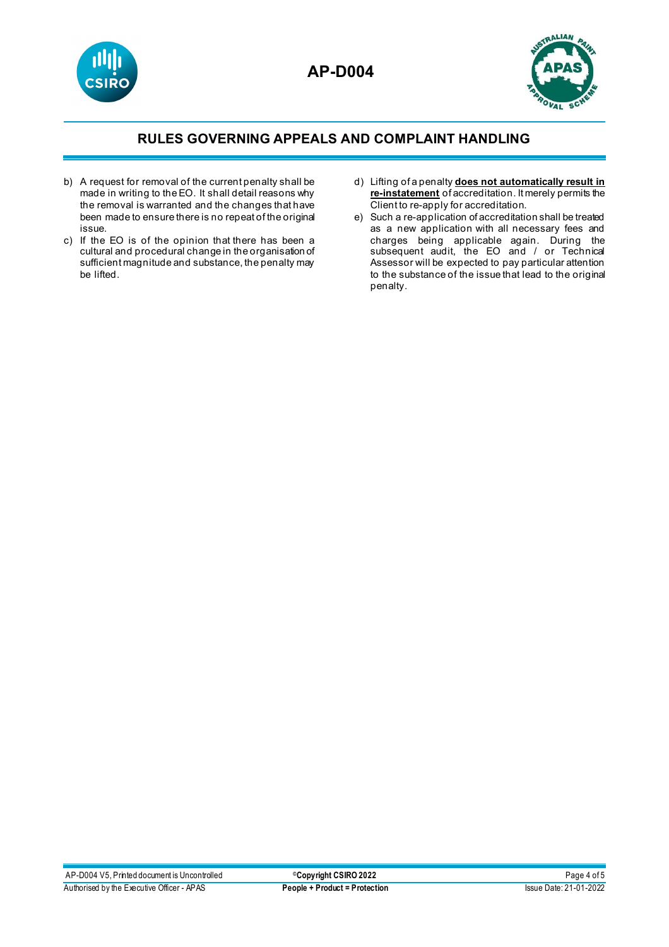



- b) A request for removal of the current penalty shall be made in writing to the EO. It shall detail reasons why the removal is warranted and the changes that have been made to ensure there is no repeat of the original issue.
- c) If the EO is of the opinion that there has been a cultural and procedural change in the organisation of sufficient magnitude and substance, the penalty may be lifted.
- d) Lifting of a penalty **does not automatically result in re-instatement** of accreditation. It merely permits the Client to re-apply for accreditation.
- e) Such a re-application of accreditation shall be treated as a new application with all necessary fees and charges being applicable again. During the subsequent audit, the EO and / or Technical Assessor will be expected to pay particular attention to the substance of the issue that lead to the original penalty.